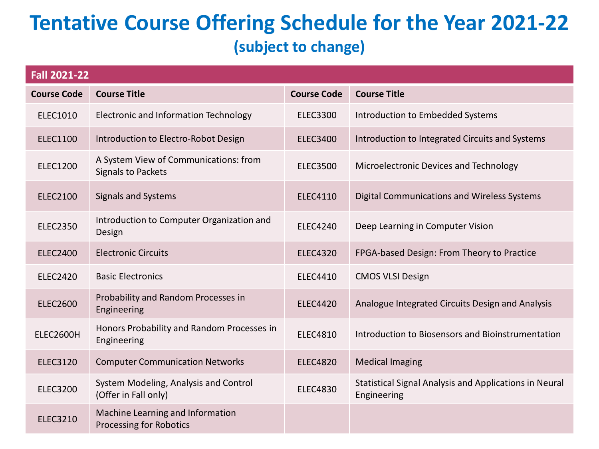## **Tentative Course Offering Schedule for the Year 2021-22 (subject to change)**

| <b>Fall 2021-22</b>                                                |                    |                                                                       |  |  |
|--------------------------------------------------------------------|--------------------|-----------------------------------------------------------------------|--|--|
| <b>Course Title</b>                                                | <b>Course Code</b> | <b>Course Title</b>                                                   |  |  |
| Electronic and Information Technology                              | <b>ELEC3300</b>    | Introduction to Embedded Systems                                      |  |  |
| Introduction to Electro-Robot Design                               | <b>ELEC3400</b>    | Introduction to Integrated Circuits and Systems                       |  |  |
| A System View of Communications: from<br><b>Signals to Packets</b> | <b>ELEC3500</b>    | Microelectronic Devices and Technology                                |  |  |
| <b>Signals and Systems</b>                                         | <b>ELEC4110</b>    | <b>Digital Communications and Wireless Systems</b>                    |  |  |
| Introduction to Computer Organization and<br>Design                | <b>ELEC4240</b>    | Deep Learning in Computer Vision                                      |  |  |
| <b>Electronic Circuits</b>                                         | <b>ELEC4320</b>    | FPGA-based Design: From Theory to Practice                            |  |  |
| <b>Basic Electronics</b>                                           | <b>ELEC4410</b>    | <b>CMOS VLSI Design</b>                                               |  |  |
| Probability and Random Processes in<br>Engineering                 | <b>ELEC4420</b>    | Analogue Integrated Circuits Design and Analysis                      |  |  |
| Honors Probability and Random Processes in<br>Engineering          | <b>ELEC4810</b>    | Introduction to Biosensors and Bioinstrumentation                     |  |  |
| <b>Computer Communication Networks</b>                             | <b>ELEC4820</b>    | <b>Medical Imaging</b>                                                |  |  |
| System Modeling, Analysis and Control<br>(Offer in Fall only)      | <b>ELEC4830</b>    | Statistical Signal Analysis and Applications in Neural<br>Engineering |  |  |
| Machine Learning and Information<br>Processing for Robotics        |                    |                                                                       |  |  |
|                                                                    |                    |                                                                       |  |  |